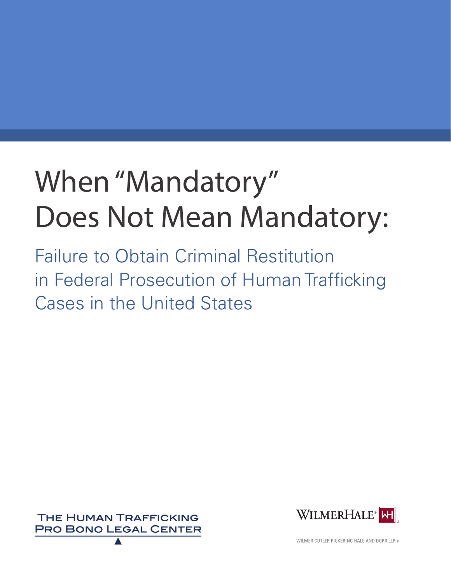# When "Mandatory" Does Not Mean Mandatory:

Failure to Obtain Criminal Restitution in Federal Prosecution of Human Trafficking Cases in the United States





WILMER CUTLER PICKERING HALE AND DORR LLP ®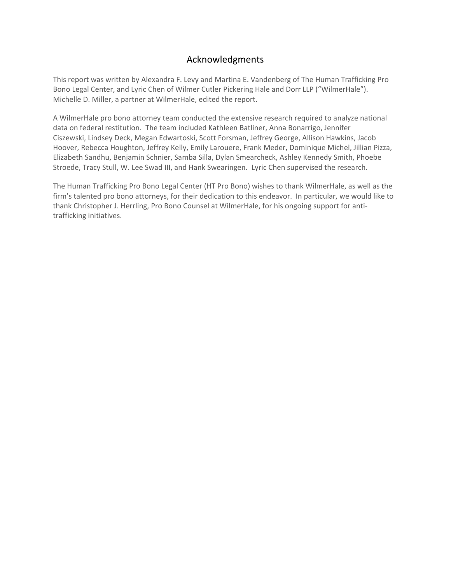# Acknowledgments

This report was written by Alexandra F. Levy and Martina E. Vandenberg of The Human Trafficking Pro Bono Legal Center, and Lyric Chen of Wilmer Cutler Pickering Hale and Dorr LLP ("WilmerHale"). Michelle D. Miller, a partner at WilmerHale, edited the report.

A WilmerHale pro bono attorney team conducted the extensive research required to analyze national data on federal restitution. The team included Kathleen Batliner, Anna Bonarrigo, Jennifer Ciszewski, Lindsey Deck, Megan Edwartoski, Scott Forsman, Jeffrey George, Allison Hawkins, Jacob Hoover, Rebecca Houghton, Jeffrey Kelly, Emily Larouere, Frank Meder, Dominique Michel, Jillian Pizza, Elizabeth Sandhu, Benjamin Schnier, Samba Silla, Dylan Smearcheck, Ashley Kennedy Smith, Phoebe Stroede, Tracy Stull, W. Lee Swad III, and Hank Swearingen. Lyric Chen supervised the research.

The Human Trafficking Pro Bono Legal Center (HT Pro Bono) wishes to thank WilmerHale, as well as the firm's talented pro bono attorneys, for their dedication to this endeavor. In particular, we would like to thank Christopher J. Herrling, Pro Bono Counsel at WilmerHale, for his ongoing support for anti‐ trafficking initiatives.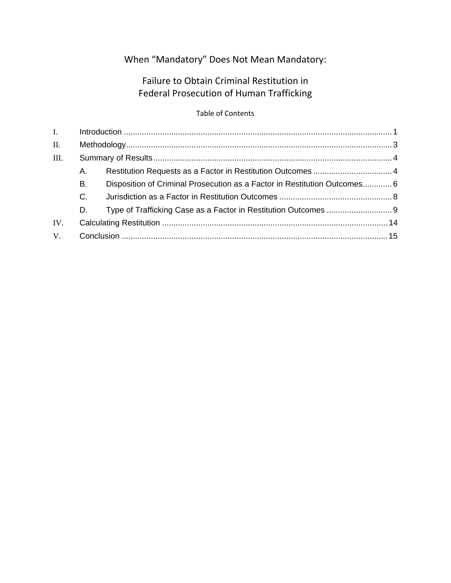# When "Mandatory" Does Not Mean Mandatory:

# Failure to Obtain Criminal Restitution in Federal Prosecution of Human Trafficking

## Table of Contents

| $\mathbf{I}$ . |             |                                                                           |  |
|----------------|-------------|---------------------------------------------------------------------------|--|
| II.            |             |                                                                           |  |
| III.           |             |                                                                           |  |
|                | А.          |                                                                           |  |
|                | В.          | Disposition of Criminal Prosecution as a Factor in Restitution Outcomes 6 |  |
|                | $C_{\cdot}$ |                                                                           |  |
|                | D.          |                                                                           |  |
| IV.            |             |                                                                           |  |
| V.             |             |                                                                           |  |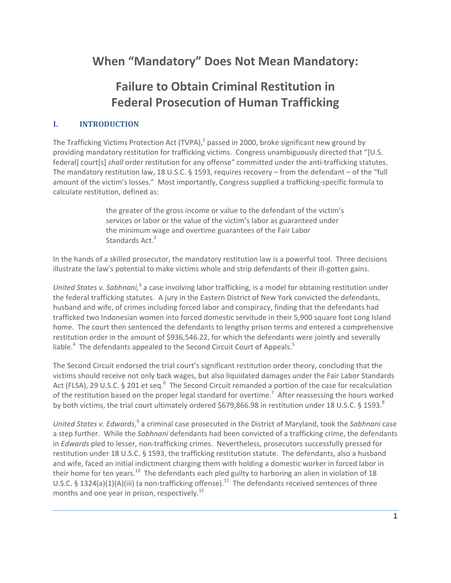# **When "Mandatory" Does Not Mean Mandatory:**

# **Failure to Obtain Criminal Restitution in Federal Prosecution of Human Trafficking**

## **I. INTRODUCTION**

The Trafficking Victims Protection Act  $(TVPA)<sup>1</sup>$  passed in 2000, broke significant new ground by providing mandatory restitution for trafficking victims. Congress unambiguously directed that "[U.S. federal] court[s] *shall* order restitution for any offense" committed under the anti-trafficking statutes. The mandatory restitution law, 18 U.S.C. § 1593, requires recovery – from the defendant – of the "full amount of the victim's losses." Most importantly, Congress supplied a trafficking-specific formula to calculate restitution, defined as:

> the greater of the gross income or value to the defendant of the victim's services or labor or the value of the victim's labor as guaranteed under the minimum wage and overtime guarantees of the Fair Labor Standards Act.<sup>2</sup>

In the hands of a skilled prosecutor, the mandatory restitution law is a powerful tool. Three decisions illustrate the law's potential to make victims whole and strip defendants of their ill‐gotten gains.

*United States v. Sabhnani*,<sup>3</sup> a case involving labor trafficking, is a model for obtaining restitution under the federal trafficking statutes. A jury in the Eastern District of New York convicted the defendants, husband and wife, of crimes including forced labor and conspiracy, finding that the defendants had trafficked two Indonesian women into forced domestic servitude in their 5,900 square foot Long Island home. The court then sentenced the defendants to lengthy prison terms and entered a comprehensive restitution order in the amount of \$936,546.22, for which the defendants were jointly and severally liable.<sup>4</sup> The defendants appealed to the Second Circuit Court of Appeals.<sup>5</sup>

The Second Circuit endorsed the trial court's significant restitution order theory, concluding that the victims should receive not only back wages, but also liquidated damages under the Fair Labor Standards Act (FLSA), 29 U.S.C. § 201 et seq.<sup>6</sup> The Second Circuit remanded a portion of the case for recalculation of the restitution based on the proper legal standard for overtime.<sup>7</sup> After reassessing the hours worked by both victims, the trial court ultimately ordered \$679,866.98 in restitution under 18 U.S.C. § 1593.<sup>8</sup>

*United States v. Edwards*, <sup>9</sup> a criminal case prosecuted in the District of Maryland, took the *Sabhnani* case a step further. While the *Sabhnani* defendants had been convicted of a trafficking crime, the defendants in *Edwards* pled to lesser, non-trafficking crimes. Nevertheless, prosecutors successfully pressed for restitution under 18 U.S.C. § 1593, the trafficking restitution statute. The defendants, also a husband and wife, faced an initial indictment charging them with holding a domestic worker in forced labor in their home for ten years.<sup>10</sup> The defendants each pled guilty to harboring an alien in violation of 18 U.S.C. § 1324(a)(1)(A)(iii) (a non-trafficking offense).<sup>11</sup> The defendants received sentences of three months and one year in prison, respectively.<sup>12</sup>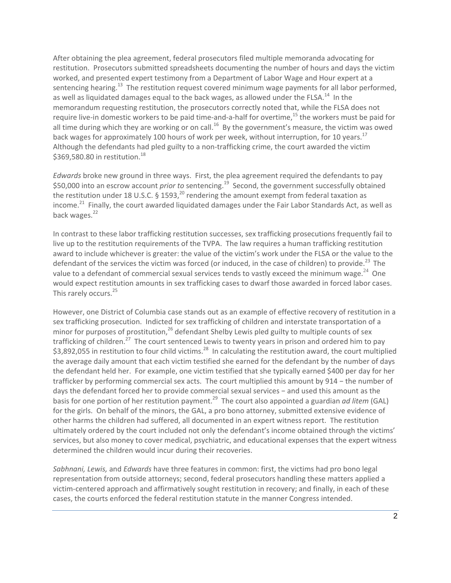After obtaining the plea agreement, federal prosecutors filed multiple memoranda advocating for restitution. Prosecutors submitted spreadsheets documenting the number of hours and days the victim worked, and presented expert testimony from a Department of Labor Wage and Hour expert at a sentencing hearing.<sup>13</sup> The restitution request covered minimum wage payments for all labor performed, as well as liquidated damages equal to the back wages, as allowed under the FLSA.<sup>14</sup> In the memorandum requesting restitution, the prosecutors correctly noted that, while the FLSA does not require live-in domestic workers to be paid time-and-a-half for overtime,<sup>15</sup> the workers must be paid for all time during which they are working or on call.<sup>16</sup> By the government's measure, the victim was owed back wages for approximately 100 hours of work per week, without interruption, for 10 years.<sup>17</sup> Although the defendants had pled guilty to a non-trafficking crime, the court awarded the victim \$369,580.80 in restitution.<sup>18</sup>

*Edwards* broke new ground in three ways. First, the plea agreement required the defendants to pay \$50,000 into an escrow account *prior to* sentencing.<sup>19</sup> Second, the government successfully obtained the restitution under 18 U.S.C. § 1593,<sup>20</sup> rendering the amount exempt from federal taxation as income.<sup>21</sup> Finally, the court awarded liquidated damages under the Fair Labor Standards Act, as well as back wages.<sup>22</sup>

In contrast to these labor trafficking restitution successes, sex trafficking prosecutions frequently fail to live up to the restitution requirements of the TVPA. The law requires a human trafficking restitution award to include whichever is greater: the value of the victim's work under the FLSA or the value to the defendant of the services the victim was forced (or induced, in the case of children) to provide.<sup>23</sup> The value to a defendant of commercial sexual services tends to vastly exceed the minimum wage.<sup>24</sup> One would expect restitution amounts in sex trafficking cases to dwarf those awarded in forced labor cases. This rarely occurs.<sup>25</sup>

However, one District of Columbia case stands out as an example of effective recovery of restitution in a sex trafficking prosecution. Indicted for sex trafficking of children and interstate transportation of a minor for purposes of prostitution,  $26$  defendant Shelby Lewis pled guilty to multiple counts of sex trafficking of children.<sup>27</sup> The court sentenced Lewis to twenty years in prison and ordered him to pay \$3,892,055 in restitution to four child victims.<sup>28</sup> In calculating the restitution award, the court multiplied the average daily amount that each victim testified she earned for the defendant by the number of days the defendant held her. For example, one victim testified that she typically earned \$400 per day for her trafficker by performing commercial sex acts. The court multiplied this amount by 914 − the number of days the defendant forced her to provide commercial sexual services − and used this amount as the basis for one portion of her restitution payment.<sup>29</sup> The court also appointed a guardian *ad litem* (GAL) for the girls. On behalf of the minors, the GAL, a pro bono attorney, submitted extensive evidence of other harms the children had suffered, all documented in an expert witness report. The restitution ultimately ordered by the court included not only the defendant's income obtained through the victims' services, but also money to cover medical, psychiatric, and educational expenses that the expert witness determined the children would incur during their recoveries.

*Sabhnani, Lewis,* and *Edwards* have three features in common: first, the victims had pro bono legal representation from outside attorneys; second, federal prosecutors handling these matters applied a victim‐centered approach and affirmatively sought restitution in recovery; and finally, in each of these cases, the courts enforced the federal restitution statute in the manner Congress intended.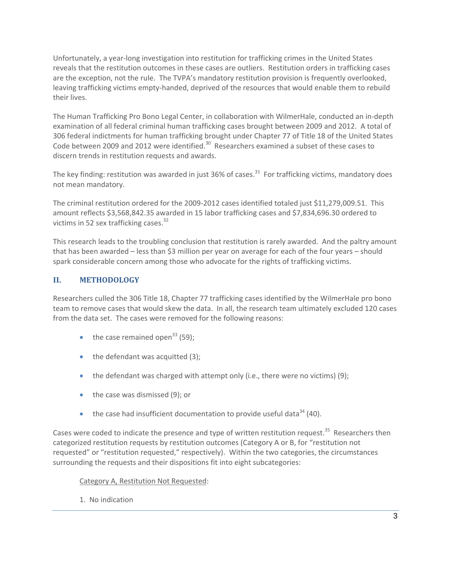Unfortunately, a year‐long investigation into restitution for trafficking crimes in the United States reveals that the restitution outcomes in these cases are outliers. Restitution orders in trafficking cases are the exception, not the rule. The TVPA's mandatory restitution provision is frequently overlooked, leaving trafficking victims empty‐handed, deprived of the resources that would enable them to rebuild their lives.

The Human Trafficking Pro Bono Legal Center, in collaboration with WilmerHale, conducted an in‐depth examination of all federal criminal human trafficking cases brought between 2009 and 2012. A total of 306 federal indictments for human trafficking brought under Chapter 77 of Title 18 of the United States Code between 2009 and 2012 were identified.<sup>30</sup> Researchers examined a subset of these cases to discern trends in restitution requests and awards.

The key finding: restitution was awarded in just 36% of cases.<sup>31</sup> For trafficking victims, mandatory does not mean mandatory.

The criminal restitution ordered for the 2009‐2012 cases identified totaled just \$11,279,009.51. This amount reflects \$3,568,842.35 awarded in 15 labor trafficking cases and \$7,834,696.30 ordered to victims in 52 sex trafficking cases. $32$ 

This research leads to the troubling conclusion that restitution is rarely awarded. And the paltry amount that has been awarded – less than \$3 million per year on average for each of the four years – should spark considerable concern among those who advocate for the rights of trafficking victims.

# **II. METHODOLOGY**

Researchers culled the 306 Title 18, Chapter 77 trafficking cases identified by the WilmerHale pro bono team to remove cases that would skew the data. In all, the research team ultimately excluded 120 cases from the data set. The cases were removed for the following reasons:

- $\bullet$  the case remained open<sup>33</sup> (59);
- $\bullet$  the defendant was acquitted (3);
- the defendant was charged with attempt only (i.e., there were no victims) (9);
- the case was dismissed (9); or
- $\bullet$  the case had insufficient documentation to provide useful data<sup>34</sup> (40).

Cases were coded to indicate the presence and type of written restitution request.<sup>35</sup> Researchers then categorized restitution requests by restitution outcomes (Category A or B, for "restitution not requested" or "restitution requested," respectively). Within the two categories, the circumstances surrounding the requests and their dispositions fit into eight subcategories:

#### Category A, Restitution Not Requested:

1. No indication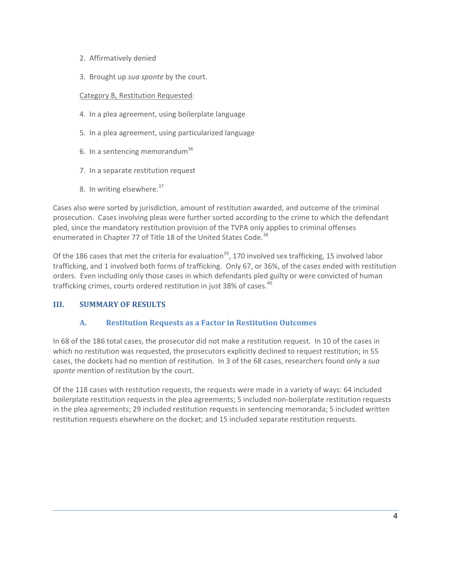- 2. Affirmatively denied
- 3. Brought up *sua sponte* by the court.

#### Category B, Restitution Requested:

- 4. In a plea agreement, using boilerplate language
- 5. In a plea agreement, using particularized language
- 6. In a sentencing memorandum<sup>36</sup>
- 7. In a separate restitution request
- 8. In writing elsewhere.<sup>37</sup>

Cases also were sorted by jurisdiction, amount of restitution awarded, and outcome of the criminal prosecution. Cases involving pleas were further sorted according to the crime to which the defendant pled, since the mandatory restitution provision of the TVPA only applies to criminal offenses enumerated in Chapter 77 of Title 18 of the United States Code.<sup>38</sup>

Of the 186 cases that met the criteria for evaluation<sup>39</sup>, 170 involved sex trafficking, 15 involved labor trafficking, and 1 involved both forms of trafficking. Only 67, or 36%, of the cases ended with restitution orders. Even including only those cases in which defendants pled guilty or were convicted of human trafficking crimes, courts ordered restitution in just 38% of cases.<sup>40</sup>

#### **III. SUMMARY OF RESULTS**

#### **A. Restitution Requests as a Factor in Restitution Outcomes**

In 68 of the 186 total cases, the prosecutor did not make a restitution request. In 10 of the cases in which no restitution was requested, the prosecutors explicitly declined to request restitution; in 55 cases, the dockets had no mention of restitution. In 3 of the 68 cases, researchers found only a *sua sponte* mention of restitution by the court.

Of the 118 cases with restitution requests, the requests were made in a variety of ways: 64 included boilerplate restitution requests in the plea agreements; 5 included non‐boilerplate restitution requests in the plea agreements; 29 included restitution requests in sentencing memoranda; 5 included written restitution requests elsewhere on the docket; and 15 included separate restitution requests.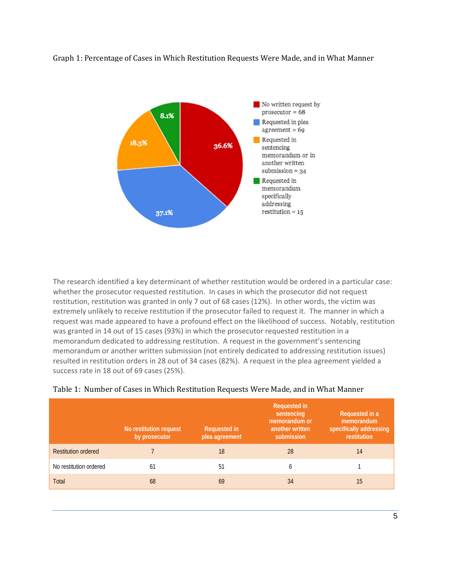Graph 1: Percentage of Cases in Which Restitution Requests Were Made, and in What Manner



The research identified a key determinant of whether restitution would be ordered in a particular case: whether the prosecutor requested restitution. In cases in which the prosecutor did not request restitution, restitution was granted in only 7 out of 68 cases (12%). In other words, the victim was extremely unlikely to receive restitution if the prosecutor failed to request it. The manner in which a request was made appeared to have a profound effect on the likelihood of success. Notably, restitution was granted in 14 out of 15 cases (93%) in which the prosecutor requested restitution in a memorandum dedicated to addressing restitution. A request in the government's sentencing memorandum or another written submission (not entirely dedicated to addressing restitution issues) resulted in restitution orders in 28 out of 34 cases (82%). A request in the plea agreement yielded a success rate in 18 out of 69 cases (25%).

|                            | No restitution request<br>by prosecutor | <b>Requested in</b><br>plea agreement | <b>Requested in</b><br>sentencing<br>memorandum or<br>another written<br>submission | Requested in a<br>memorandum<br>specifically addressing<br>restitution |
|----------------------------|-----------------------------------------|---------------------------------------|-------------------------------------------------------------------------------------|------------------------------------------------------------------------|
| <b>Restitution ordered</b> |                                         | 18                                    | 28                                                                                  | 14                                                                     |
| No restitution ordered     | 61                                      | 51                                    | b                                                                                   |                                                                        |
| Total                      | 68                                      | 69                                    | 34                                                                                  | 15                                                                     |

#### Table 1: Number of Cases in Which Restitution Requests Were Made, and in What Manner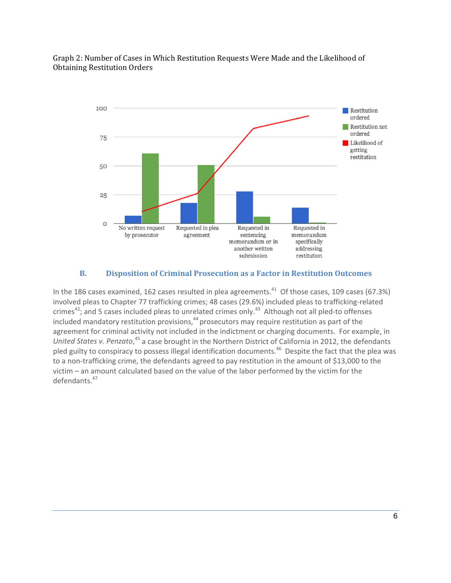

#### Graph 2: Number of Cases in Which Restitution Requests Were Made and the Likelihood of **Obtaining Restitution Orders**

# **B. Disposition of Criminal Prosecution as a Factor in Restitution Outcomes**

In the 186 cases examined, 162 cases resulted in plea agreements.<sup>41</sup> Of those cases, 109 cases (67.3%) involved pleas to Chapter 77 trafficking crimes; 48 cases (29.6%) included pleas to trafficking‐related crimes<sup>42</sup>; and 5 cases included pleas to unrelated crimes only.<sup>43</sup> Although not all pled-to offenses included mandatory restitution provisions,<sup>44</sup> prosecutors may require restitution as part of the agreement for criminal activity not included in the indictment or charging documents. For example, in *United States v. Penzato*, <sup>45</sup> a case brought in the Northern District of California in 2012, the defendants pled guilty to conspiracy to possess illegal identification documents.<sup>46</sup> Despite the fact that the plea was to a non-trafficking crime, the defendants agreed to pay restitution in the amount of \$13,000 to the victim – an amount calculated based on the value of the labor performed by the victim for the defendants.<sup>47</sup>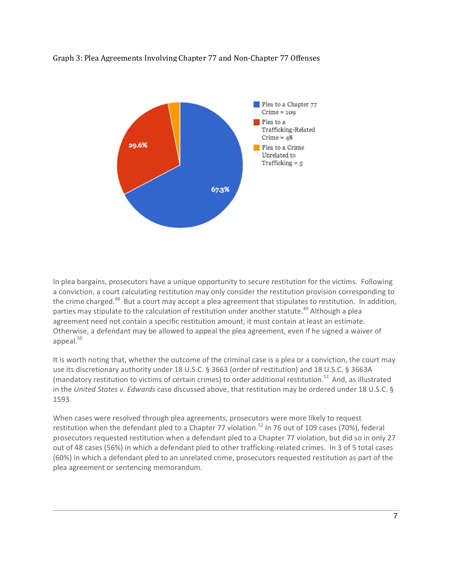



In plea bargains, prosecutors have a unique opportunity to secure restitution for the victims. Following a conviction, a court calculating restitution may only consider the restitution provision corresponding to the crime charged.<sup>48</sup> But a court may accept a plea agreement that stipulates to restitution. In addition, parties may stipulate to the calculation of restitution under another statute.<sup>49</sup> Although a plea agreement need not contain a specific restitution amount, it must contain at least an estimate. Otherwise, a defendant may be allowed to appeal the plea agreement, even if he signed a waiver of appeal. $50$ 

It is worth noting that, whether the outcome of the criminal case is a plea or a conviction, the court may use its discretionary authority under 18 U.S.C. § 3663 (order of restitution) and 18 U.S.C. § 3663A (mandatory restitution to victims of certain crimes) to order additional restitution.<sup>51</sup> And, as illustrated in the *United States v. Edwards* case discussed above, that restitution may be ordered under 18 U.S.C. § 1593.

When cases were resolved through plea agreements, prosecutors were more likely to request restitution when the defendant pled to a Chapter 77 violation.<sup>52</sup> In 76 out of 109 cases (70%), federal prosecutors requested restitution when a defendant pled to a Chapter 77 violation, but did so in only 27 out of 48 cases (56%) in which a defendant pled to other trafficking-related crimes. In 3 of 5 total cases (60%) in which a defendant pled to an unrelated crime, prosecutors requested restitution as part of the plea agreement or sentencing memorandum.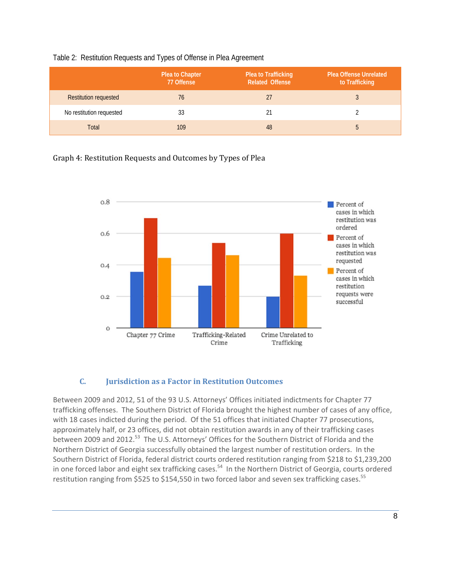|  |  | Table 2: Restitution Requests and Types of Offense in Plea Agreement |  |
|--|--|----------------------------------------------------------------------|--|
|--|--|----------------------------------------------------------------------|--|

|                              | Plea to Chapter<br>77 Offense | Plea to Trafficking<br><b>Related Offense</b> | <b>Plea Offense Unrelated</b><br>to Trafficking |
|------------------------------|-------------------------------|-----------------------------------------------|-------------------------------------------------|
| <b>Restitution requested</b> | 76                            | 27                                            |                                                 |
| No restitution requested     | 33                            |                                               |                                                 |
| Total                        | 109                           | 48                                            |                                                 |

Graph 4: Restitution Requests and Outcomes by Types of Plea



#### **C. Jurisdiction as a Factor in Restitution Outcomes**

Between 2009 and 2012, 51 of the 93 U.S. Attorneys' Offices initiated indictments for Chapter 77 trafficking offenses. The Southern District of Florida brought the highest number of cases of any office, with 18 cases indicted during the period. Of the 51 offices that initiated Chapter 77 prosecutions, approximately half, or 23 offices, did not obtain restitution awards in any of their trafficking cases between 2009 and 2012.<sup>53</sup> The U.S. Attorneys' Offices for the Southern District of Florida and the Northern District of Georgia successfully obtained the largest number of restitution orders. In the Southern District of Florida, federal district courts ordered restitution ranging from \$218 to \$1,239,200 in one forced labor and eight sex trafficking cases.<sup>54</sup> In the Northern District of Georgia, courts ordered restitution ranging from \$525 to \$154,550 in two forced labor and seven sex trafficking cases.<sup>55</sup>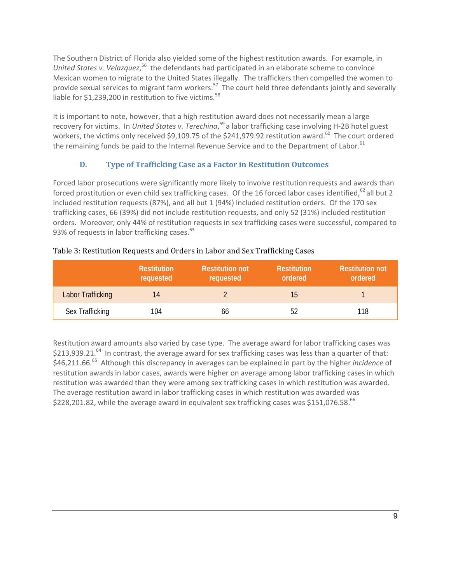The Southern District of Florida also yielded some of the highest restitution awards. For example, in United States v. Velazquez,<sup>56</sup> the defendants had participated in an elaborate scheme to convince Mexican women to migrate to the United States illegally. The traffickers then compelled the women to provide sexual services to migrant farm workers.<sup>57</sup> The court held three defendants jointly and severally liable for  $$1,239,200$  in restitution to five victims.<sup>58</sup>

It is important to note, however, that a high restitution award does not necessarily mean a large recovery for victims. In *United States v. Terechina*, <sup>59</sup> a labor trafficking case involving H‐2B hotel guest workers, the victims only received \$9,109.75 of the \$241,979.92 restitution award.<sup>60</sup> The court ordered the remaining funds be paid to the Internal Revenue Service and to the Department of Labor.<sup>61</sup>

# **D. Type of Trafficking Case as a Factor in Restitution Outcomes**

Forced labor prosecutions were significantly more likely to involve restitution requests and awards than forced prostitution or even child sex trafficking cases. Of the 16 forced labor cases identified,<sup>62</sup> all but 2 included restitution requests (87%), and all but 1 (94%) included restitution orders. Of the 170 sex trafficking cases, 66 (39%) did not include restitution requests, and only 52 (31%) included restitution orders. Moreover, only 44% of restitution requests in sex trafficking cases were successful, compared to 93% of requests in labor trafficking cases. $^{63}$ 

|                   | <b>Restitution</b><br>requested | <b>Restitution not</b><br>requested | <b>Restitution</b><br>ordered | <b>Restitution not</b><br>ordered |
|-------------------|---------------------------------|-------------------------------------|-------------------------------|-----------------------------------|
| Labor Trafficking | 14                              |                                     | 15                            |                                   |
| Sex Trafficking   | 104                             | 66                                  | 52                            | 118                               |

## Table 3: Restitution Requests and Orders in Labor and Sex Trafficking Cases

Restitution award amounts also varied by case type. The average award for labor trafficking cases was  $$213,939.21.<sup>64</sup>$  In contrast, the average award for sex trafficking cases was less than a quarter of that: \$46,211.66.65 Although this discrepancy in averages can be explained in part by the higher *incidence* of restitution awards in labor cases, awards were higher on average among labor trafficking cases in which restitution was awarded than they were among sex trafficking cases in which restitution was awarded. The average restitution award in labor trafficking cases in which restitution was awarded was \$228,201.82, while the average award in equivalent sex trafficking cases was \$151,076.58. $^{66}$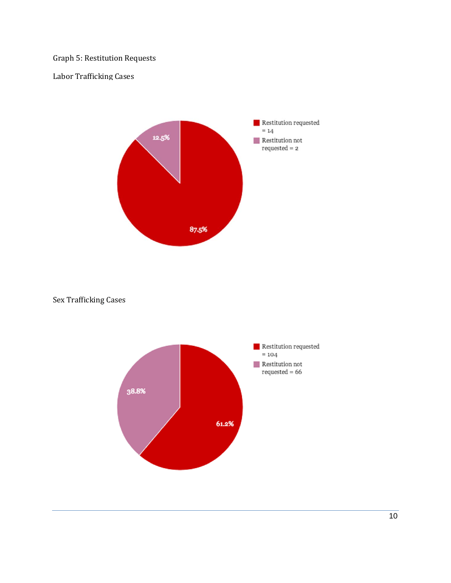# Graph 5: Restitution Requests

## Labor Trafficking Cases



## Sex Trafficking Cases

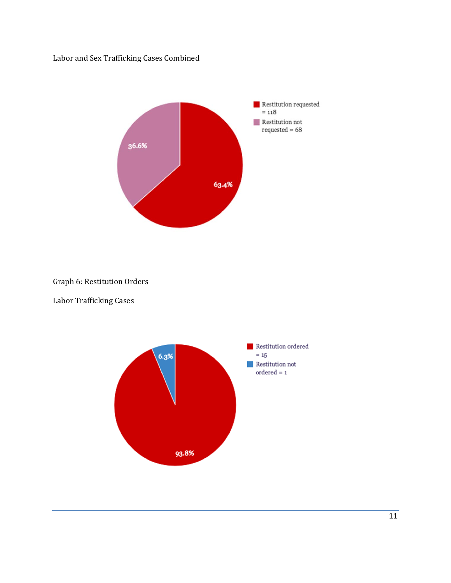Labor and Sex Trafficking Cases Combined



Graph 6: Restitution Orders

Labor Trafficking Cases

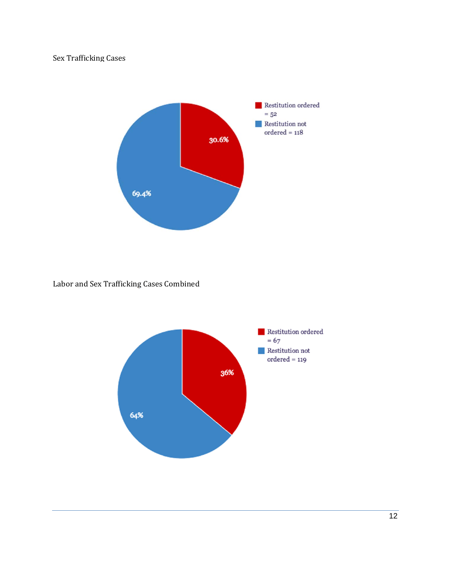# Sex Trafficking Cases



# Labor and Sex Trafficking Cases Combined

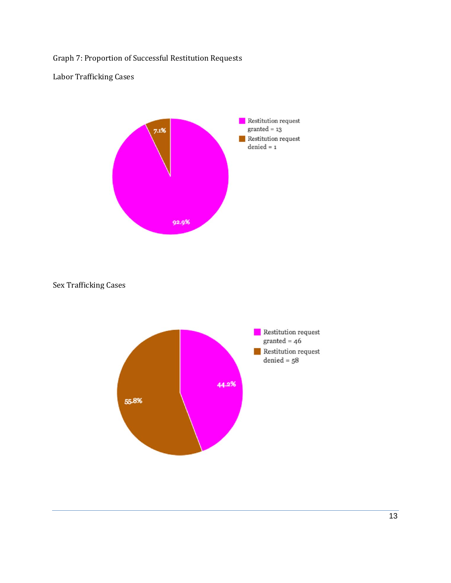Graph 7: Proportion of Successful Restitution Requests

Labor Trafficking Cases



Sex Trafficking Cases

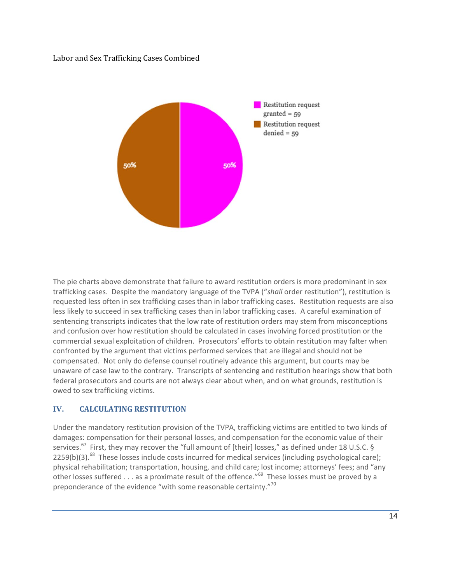#### Labor and Sex Trafficking Cases Combined



The pie charts above demonstrate that failure to award restitution orders is more predominant in sex trafficking cases. Despite the mandatory language of the TVPA ("*shall* order restitution"), restitution is requested less often in sex trafficking cases than in labor trafficking cases. Restitution requests are also less likely to succeed in sex trafficking cases than in labor trafficking cases. A careful examination of sentencing transcripts indicates that the low rate of restitution orders may stem from misconceptions and confusion over how restitution should be calculated in cases involving forced prostitution or the commercial sexual exploitation of children. Prosecutors' efforts to obtain restitution may falter when confronted by the argument that victims performed services that are illegal and should not be compensated. Not only do defense counsel routinely advance this argument, but courts may be unaware of case law to the contrary. Transcripts of sentencing and restitution hearings show that both federal prosecutors and courts are not always clear about when, and on what grounds, restitution is owed to sex trafficking victims.

#### **IV. CALCULATING RESTITUTION**

Under the mandatory restitution provision of the TVPA, trafficking victims are entitled to two kinds of damages: compensation for their personal losses, and compensation for the economic value of their services.<sup>67</sup> First, they may recover the "full amount of [their] losses," as defined under 18 U.S.C. § 2259(b)(3).<sup>68</sup> These losses include costs incurred for medical services (including psychological care); physical rehabilitation; transportation, housing, and child care; lost income; attorneys' fees; and "any other losses suffered  $\dots$  as a proximate result of the offence."<sup>69</sup> These losses must be proved by a preponderance of the evidence "with some reasonable certainty."<sup>70</sup>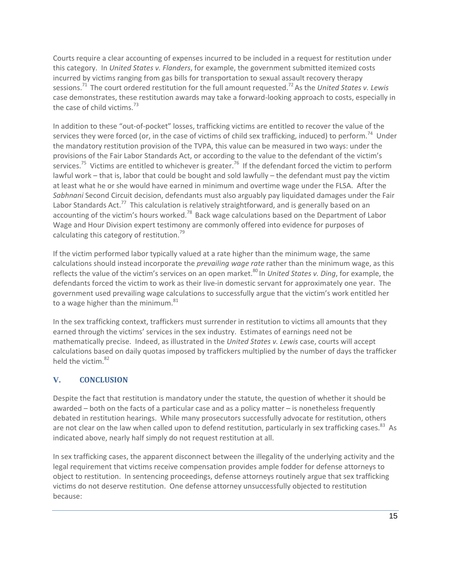Courts require a clear accounting of expenses incurred to be included in a request for restitution under this category. In *United States v. Flanders*, for example, the government submitted itemized costs incurred by victims ranging from gas bills for transportation to sexual assault recovery therapy sessions.71 The court ordered restitution for the full amount requested.72As the *United States v. Lewis* case demonstrates, these restitution awards may take a forward‐looking approach to costs, especially in the case of child victims.  $73$ 

In addition to these "out-of-pocket" losses, trafficking victims are entitled to recover the value of the services they were forced (or, in the case of victims of child sex trafficking, induced) to perform.<sup>74</sup> Under the mandatory restitution provision of the TVPA, this value can be measured in two ways: under the provisions of the Fair Labor Standards Act, or according to the value to the defendant of the victim's services.<sup>75</sup> Victims are entitled to whichever is greater.<sup>76</sup> If the defendant forced the victim to perform lawful work – that is, labor that could be bought and sold lawfully – the defendant must pay the victim at least what he or she would have earned in minimum and overtime wage under the FLSA. After the *Sabhnani* Second Circuit decision, defendants must also arguably pay liquidated damages under the Fair Labor Standards Act.<sup>77</sup> This calculation is relatively straightforward, and is generally based on an accounting of the victim's hours worked.<sup>78</sup> Back wage calculations based on the Department of Labor Wage and Hour Division expert testimony are commonly offered into evidence for purposes of calculating this category of restitution. $79$ 

If the victim performed labor typically valued at a rate higher than the minimum wage, the same calculations should instead incorporate the *prevailing wage rate* rather than the minimum wage, as this reflects the value of the victim's services on an open market.<sup>80</sup> In *United States v. Ding*, for example, the defendants forced the victim to work as their live-in domestic servant for approximately one year. The government used prevailing wage calculations to successfully argue that the victim's work entitled her to a wage higher than the minimum. $81$ 

In the sex trafficking context, traffickers must surrender in restitution to victims all amounts that they earned through the victims' services in the sex industry. Estimates of earnings need not be mathematically precise. Indeed, as illustrated in the *United States v. Lewis* case, courts will accept calculations based on daily quotas imposed by traffickers multiplied by the number of days the trafficker held the victim.<sup>82</sup>

# **V. CONCLUSION**

Despite the fact that restitution is mandatory under the statute, the question of whether it should be awarded – both on the facts of a particular case and as a policy matter – is nonetheless frequently debated in restitution hearings. While many prosecutors successfully advocate for restitution, others are not clear on the law when called upon to defend restitution, particularly in sex trafficking cases.<sup>83</sup> As indicated above, nearly half simply do not request restitution at all.

In sex trafficking cases, the apparent disconnect between the illegality of the underlying activity and the legal requirement that victims receive compensation provides ample fodder for defense attorneys to object to restitution. In sentencing proceedings, defense attorneys routinely argue that sex trafficking victims do not deserve restitution. One defense attorney unsuccessfully objected to restitution because: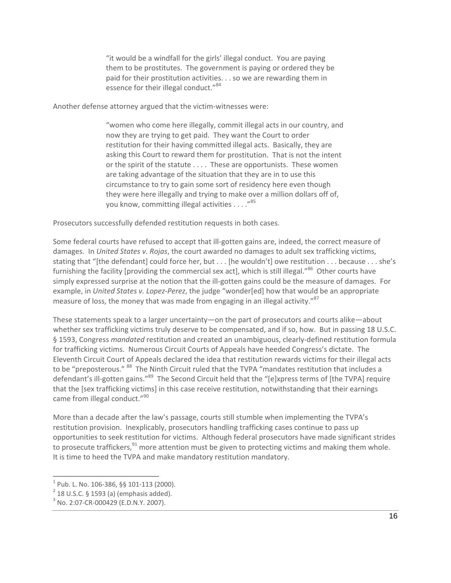"it would be a windfall for the girls' illegal conduct. You are paying them to be prostitutes. The government is paying or ordered they be paid for their prostitution activities. . . so we are rewarding them in essence for their illegal conduct."<sup>84</sup>

Another defense attorney argued that the victim‐witnesses were:

"women who come here illegally, commit illegal acts in our country, and now they are trying to get paid. They want the Court to order restitution for their having committed illegal acts. Basically, they are asking this Court to reward them for prostitution. That is not the intent or the spirit of the statute . . . . These are opportunists. These women are taking advantage of the situation that they are in to use this circumstance to try to gain some sort of residency here even though they were here illegally and trying to make over a million dollars off of, you know, committing illegal activities  $\dots$ ."<sup>85</sup>

Prosecutors successfully defended restitution requests in both cases.

Some federal courts have refused to accept that ill‐gotten gains are, indeed, the correct measure of damages. In *United States v. Rojas*, the court awarded no damages to adult sex trafficking victims, stating that "[the defendant] could force her, but . . . [he wouldn't] owe restitution . . . because . . . she's furnishing the facility [providing the commercial sex act], which is still illegal."<sup>86</sup> Other courts have simply expressed surprise at the notion that the ill-gotten gains could be the measure of damages. For example, in *United States v. Lopez‐Perez*, the judge "wonder[ed] how that would be an appropriate measure of loss, the money that was made from engaging in an illegal activity."<sup>87</sup>

These statements speak to a larger uncertainty—on the part of prosecutors and courts alike—about whether sex trafficking victims truly deserve to be compensated, and if so, how. But in passing 18 U.S.C. § 1593, Congress *mandated* restitution and created an unambiguous, clearly-defined restitution formula for trafficking victims. Numerous Circuit Courts of Appeals have heeded Congress's dictate. The Eleventh Circuit Court of Appeals declared the idea that restitution rewards victims for their illegal acts to be "preposterous." <sup>88</sup> The Ninth Circuit ruled that the TVPA "mandates restitution that includes a defendant's ill-gotten gains."<sup>89</sup> The Second Circuit held that the "[e]xpress terms of [the TVPA] require that the [sex trafficking victims] in this case receive restitution, notwithstanding that their earnings came from illegal conduct."<sup>90</sup>

More than a decade after the law's passage, courts still stumble when implementing the TVPA's restitution provision. Inexplicably, prosecutors handling trafficking cases continue to pass up opportunities to seek restitution for victims. Although federal prosecutors have made significant strides to prosecute traffickers, $91$  more attention must be given to protecting victims and making them whole. It is time to heed the TVPA and make mandatory restitution mandatory.

 $\overline{a}$ 

<sup>&</sup>lt;sup>1</sup> Pub. L. No. 106-386, §§ 101-113 (2000).<br><sup>2</sup> 18 U.S.C. § 1593 (a) (emphasis added).<br><sup>3</sup> No. 2:07-CR-000429 (E.D.N.Y. 2007).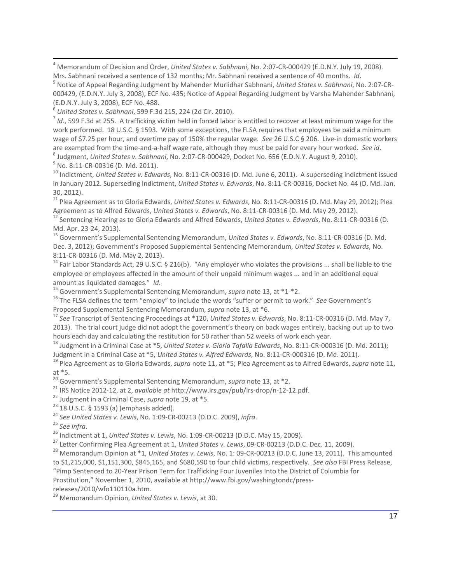<sup>4</sup> Memorandum of Decision and Order, *United States v. Sabhnani*, No. 2:07‐CR‐000429 (E.D.N.Y. July 19, 2008). Mrs. Sabhnani received a sentence of 132 months; Mr. Sabhnani received a sentence of 40 months. Id.<br><sup>5</sup> Notice of Appeal Regarding Judgment by Mahender Murlidhar Sabhnani, United States v. Sabhnani, No. 2:07-CR-

000429, (E.D.N.Y. July 3, 2008), ECF No. 435; Notice of Appeal Regarding Judgment by Varsha Mahender Sabhnani, (E.D.N.Y. July 3, 2008), ECF No. 488.<br><sup>6</sup> United States v. Sabhnani, 599 F.3d 215, 224 (2d Cir. 2010).<br><sup>7</sup> Id., 599 F.3d at 255. A trafficking victim held in forced labor is entitled to recover at least minimum wage for th

work performed. 18 U.S.C. § 1593. With some exceptions, the FLSA requires that employees be paid a minimum wage of \$7.25 per hour, and overtime pay of 150% the regular wage. See 26 U.S.C § 206. Live-in domestic workers are exempted from the time-and-a-half wage rate, although they must be paid for every hour worked. See id.<br>
<sup>8</sup> Judgment, United States v. Sabhnani, No. 2:07-CR-000429, Docket No. 656 (E.D.N.Y. August 9, 2010).<br>
<sup>9</sup> No. 8:

in January 2012. Superseding Indictment, *United States v. Edwards*, No. 8:11‐CR‐00316, Docket No. 44 (D. Md. Jan.

30, 2012). <sup>11</sup> Plea Agreement as to Gloria Edwards, *United States v. Edwards*, No. 8:11‐CR‐<sup>00316</sup> (D. Md. May 29, 2012); Plea

 $^{12}$  Sentencing Hearing as to Gloria Edwards and Alfred Edwards, United States v. Edwards, No. 8:11-CR-00316 (D. Md. Apr. <sup>23</sup>‐24, 2013). <sup>13</sup> Government's Supplemental Sentencing Memorandum, *United States v. Edwards*, No. 8:11‐CR‐<sup>00316</sup> (D. Md.

Dec. 3, 2012); Government's Proposed Supplemental Sentencing Memorandum, *United States v. Edwards*, No. 8:11-CR-00316 (D. Md. May 2, 2013).<br><sup>14</sup> Fair Labor Standards Act, 29 U.S.C. § 216(b). "Any employer who violates the provisions ... shall be liable to the

employee or employees affected in the amount of their unpaid minimum wages ... and in an additional equal

amount as liquidated damages." Id.<br>
<sup>15</sup> Government's Supplemental Sentencing Memorandum, *supra* note 13, at  $*1-*2$ .<br>
<sup>16</sup> The FLSA defines the term "employ" to include the words "suffer or permit to work." *See* Governm

<sup>17</sup> See Transcript of Sentencing Proceedings at \*120, *United States v. Edwards*, No. 8:11-CR-00316 (D. Md. May 7, 2013). The trial court judge did not adopt the government's theory on back wages entirely, backing out up to two

hours each day and calculating the restitution for 50 rather than 52 weeks of work each year.<br><sup>18</sup> Judgment in a Criminal Case at \*5, *United States v. Gloria Tafalla Edwards*, No. 8:11-CR-000316 (D. Md. 2011);<br>Judgment in

<sup>19</sup> Plea Agreement as to Gloria Edwards, supra note 11, at \*5; Plea Agreement as to Alfred Edwards, supra note 11, at \*5.<br>
<sup>20</sup> Government's Supplemental Sentencing Memorandum, *supra* note 13, at \*2.<br>
<sup>21</sup> IRS Notice 2012-12, at 2, *available at* http://www.irs.gov/pub/irs-drop/n-12-12.pdf.<br>
<sup>22</sup> Judgment in a Criminal Case, *supra*

to \$1,215,000, \$1,151,300, \$845,165, and \$680,590 to four child victims, respectively. *See also* FBI Press Release, "Pimp Sentenced to 20‐Year Prison Term for Trafficking Four Juveniles Into the District of Columbia for Prostitution," November 1, 2010, available at http://www.fbi.gov/washingtondc/press‐

releases/2010/wfo110110a.htm.

<sup>29</sup> Memorandum Opinion, *United States v. Lewis*, at 30.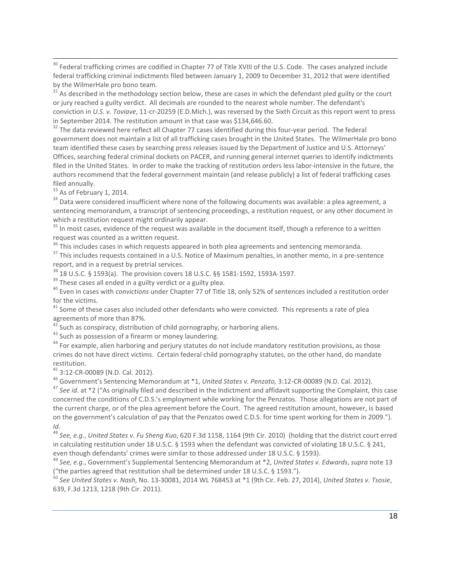<sup>30</sup> Federal trafficking crimes are codified in Chapter 77 of Title XVIII of the U.S. Code. The cases analyzed include federal trafficking criminal indictments filed between January 1, 2009 to December 31, 2012 that were identified by the WilmerHale pro bono team.<br><sup>31</sup> As described in the methodology section below, these are cases in which the defendant pled guilty or the court

or jury reached a guilty verdict. All decimals are rounded to the nearest whole number. The defendant's conviction in *U.S. v. Toviave*, 11‐cr‐20259 (E.D.Mich.), was reversed by the Sixth Circuit as this report went to press in September 2014. The restitution amount in that case was \$134,646.60.<br><sup>32</sup> The data reviewed here reflect all Chapter 77 cases identified during this four-year period. The federal

government does not maintain a list of all trafficking cases brought in the United States. The WilmerHale pro bono team identified these cases by searching press releases issued by the Department of Justice and U.S. Attorneys' Offices, searching federal criminal dockets on PACER, and running general internet queries to identify indictments filed in the United States. In order to make the tracking of restitution orders less labor-intensive in the future, the authors recommend that the federal government maintain (and release publicly) a list of federal trafficking cases filed annually.

<sup>33</sup> As of February 1, 2014.<br><sup>34</sup> Data were considered insufficient where none of the following documents was available: a plea agreement, a sentencing memorandum, a transcript of sentencing proceedings, a restitution request, or any other document in which a restitution request might ordinarily appear.<br><sup>35</sup> In most cases, evidence of the request was available in the document itself, though a reference to a written

request was counted as a written request.<br><sup>36</sup> This includes cases in which requests appeared in both plea agreements and sentencing memoranda.<br><sup>37</sup> This includes requests contained in a U.S. Notice of Maximum penalties, i

report, and in a request by pretrial services.<br><sup>38</sup> 18 U.S.C. § 1593(a). The provision covers 18 U.S.C. §§ 1581-1592, 1593A-1597.<br><sup>39</sup> These cases all ended in a guilty verdict or a guilty plea.<br><sup>40</sup> Even in cases with *c* 

for the victims.<br><sup>41</sup> Some of these cases also included other defendants who were convicted. This represents a rate of plea

agreements of more than 87%.<br><sup>42</sup> Such as conspiracy, distribution of child pornography, or harboring aliens.<br><sup>43</sup> Such as possession of a firearm or money laundering.<br><sup>44</sup> For example, alien harboring and perjury statutes crimes do not have direct victims. Certain federal child pornography statutes, on the other hand, do mandate restitution.

<sup>45</sup> 3:12-CR-00089 (N.D. Cal. 2012).<br><sup>46</sup> Government's Sentencing Memorandum at \*1, *United States v. Penzato,* 3:12-CR-00089 (N.D. Cal. 2012).<br><sup>47</sup> See id. at \*2 ("As originally filed and described in the Indictment and

concerned the conditions of C.D.S.'s employment while working for the Penzatos. Those allegations are not part of the current charge, or of the plea agreement before the Court. The agreed restitution amount, however, is based on the government's calculation of pay that the Penzatos owed C.D.S. for time spent working for them in 2009.").

*Id*. <sup>48</sup> *See, e.g.*, *United States v. Fu Sheng Kuo*, <sup>620</sup> F.3d 1158, <sup>1164</sup> (9th Cir. 2010) (holding that the district court erred in calculating restitution under 18 U.S.C. § 1593 when the defendant was convicted of violating 18 U.S.C. § 241, even though defendants' crimes were similar to those addressed under 18 U.S.C. § 1593).

<sup>49</sup> See, e.g., Government's Supplemental Sentencing Memorandum at \*2, United States v. Edwards, supra note 13 ("the parties agreed that restitution shall be determined under 18 U.S.C. § 1593.").

<sup>50</sup> See United States v. Nash, No. 13-30081, 2014 WL 768453 at \*1 (9th Cir. Feb. 27, 2014), United States v. Tsosie, 639, F.3d 1213, 1218 (9th Cir. 2011).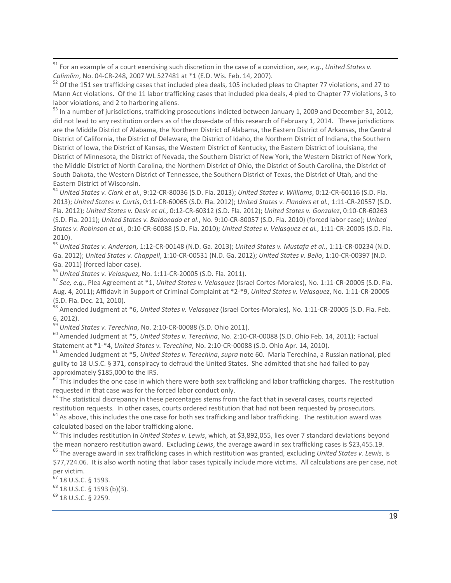<sup>51</sup> For an example of a court exercising such discretion in the case of a conviction, *see*, *e.g.*, *United States v. Calimlim*, No. 04-CR-248, 2007 WL 527481 at \*1 (E.D. Wis. Feb. 14, 2007).<br><sup>52</sup> Of the 151 sex trafficking cases that included plea deals, 105 included pleas to Chapter 77 violations, and 27 to

Mann Act violations. Of the 11 labor trafficking cases that included plea deals, 4 pled to Chapter 77 violations, 3 to labor violations, and 2 to harboring aliens.<br><sup>53</sup> In a number of jurisdictions, trafficking prosecutions indicted between January 1, 2009 and December 31, 2012,

did not lead to any restitution orders as of the close-date of this research of February 1, 2014. These jurisdictions are the Middle District of Alabama, the Northern District of Alabama, the Eastern District of Arkansas, the Central District of California, the District of Delaware, the District of Idaho, the Northern District of Indiana, the Southern District of Iowa, the District of Kansas, the Western District of Kentucky, the Eastern District of Louisiana, the District of Minnesota, the District of Nevada, the Southern District of New York, the Western District of New York, the Middle District of North Carolina, the Northern District of Ohio, the District of South Carolina, the District of South Dakota, the Western District of Tennessee, the Southern District of Texas, the District of Utah, and the Eastern District of Wisconsin.<br><sup>54</sup> *United States v. Clark et al.*, 9:12‐CR‐80036 (S.D. Fla. 2013); *United States v. Williams*, 0:12‐CR‐60116 (S.D. Fla.

2013); *United States v. Curtis*, 0:11‐CR‐60065 (S.D. Fla. 2012); *United States v. Flanders et al.*, 1:11‐CR‐20557 (S.D. Fla. 2012); *United States v. Desir et al.*, 0:12‐CR‐60312 (S.D. Fla. 2012); *United States v. Gonzalez*, 0:10‐CR‐60263 (S.D. Fla. 2011); *United States v. Baldonado et al*., No. 9:10‐CR‐80057 (S.D. Fla. 2010) (forced labor case); *United States v. Robinson et al.*, 0:10‐CR‐60088 (S.D. Fla. 2010); *United States v. Velasquez et al.*, 1:11‐CR‐20005 (S.D. Fla. 2010).

<sup>55</sup> *United States v. Anderson*, 1:12‐CR‐00148 (N.D. Ga. 2013); *United States v. Mustafa et al.*, 1:11‐CR‐00234 (N.D. Ga. 2012); *United States v. Chappell*, 1:10‐CR‐00531 (N.D. Ga. 2012); *United States v. Bello*, 1:10‐CR‐00397 (N.D. Ga. 2011) (forced labor case).<br><sup>56</sup> United States v. Velasquez, No. 1:11-CR-20005 (S.D. Fla. 2011).<br><sup>57</sup> See, e.g., Plea Agreement at \*1, United States v. Velasquez (Israel Cortes-Morales), No. 1:11-CR-20005 (S.D. Fla.

Aug. 4, 2011); Affidavit in Support of Criminal Complaint at \*2‐\*9, *United States v. Velasquez*, No. 1:11‐CR‐20005 (S.D. Fla. Dec. 21, 2010).<br><sup>58</sup> Amended Judgment at \*6, *United States v. Velasquez* (Israel Cortes-Morales), No. 1:11-CR-20005 (S.D. Fla. Feb.

6, 2012).<br><sup>59</sup> United States v. Terechina, No. 2:10-CR-00088 (S.D. Ohio 2011).<br><sup>60</sup> Amended Judgment at \*5, United States v. Terechina, No. 2:10-CR-00088 (S.D. Ohio Feb. 14, 2011); Factual Statement at \*1-\*4, United State

 $61$  Amended Judgment at  $*5$ , United States v. Terechina, supra note 60. Maria Terechina, a Russian national, pled guilty to 18 U.S.C. § 371, conspiracy to defraud the United States. She admitted that she had failed to pay

approximately \$185,000 to the IRS.<br><sup>62</sup> This includes the one case in which there were both sex trafficking and labor trafficking charges. The restitution requested in that case was for the forced labor conduct only.

 $63$  The statistical discrepancy in these percentages stems from the fact that in several cases, courts rejected restitution requests. In other cases, courts ordered restitution that had not been requested by prosecutors.<br><sup>64</sup> As above, this includes the one case for both sex trafficking and labor trafficking. The restitution award w

calculated based on the labor trafficking alone.<br><sup>65</sup> This includes restitution in *United States v. Lewis*, which, at \$3,892,055, lies over 7 standard deviations beyond<br>the mean nonzero restitution award. Excluding *Lewis* 

 $66$  The average award in sex trafficking cases in which restitution was granted, excluding United States v. Lewis, is \$77,724.06. It is also worth noting that labor cases typically include more victims. All calculations are per case, not

 $67$  18 U.S.C. § 1593.<br>  $68$  18 U.S.C. § 1593 (b)(3).<br>  $69$  18 U.S.C. § 2259.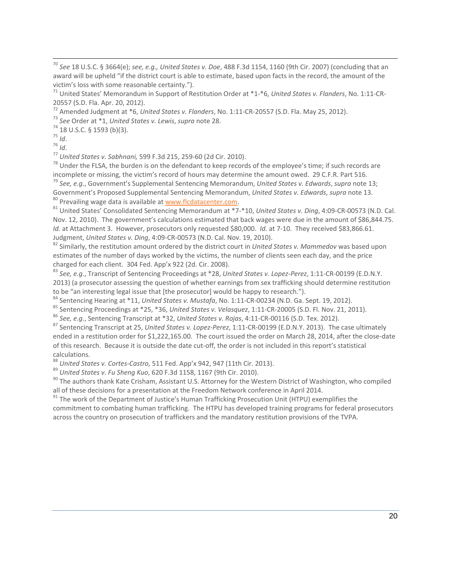20557 (S.D. Fla. Apr. 20, 2012).<br>
<sup>72</sup> Amended Judgment at \*6, *United States v. Flanders*, No. 1:11-CR-20557 (S.D. Fla. May 25, 2012).<br>
<sup>73</sup> See Order at \*1, *United States v. Lewis, supra* note 28.<br>
<sup>74</sup> 18 U.S.C. § 159

<sup>79</sup> See, e.g., Government's Supplemental Sentencing Memorandum, United States v. Edwards, supra note 13; Government's Proposed Supplemental Sentencing Memorandum, United States v. Edwards, supra note 13.<br><sup>80</sup> Prevailing wage data is available at <u>www.flcdatacenter.com</u>.<br><sup>81</sup> United States' Consolidated Sentencing Memorandum a

Nov. 12, 2010). The government's calculations estimated that back wages were due in the amount of \$86,844.75. *Id.* at Attachment 3. However, prosecutors only requested \$80,000. *Id.* at 7‐10. They received \$83,866.61. Judgment, United States v. Ding, 4:09-CR-00573 (N.D. Cal. Nov. 19, 2010).<br><sup>82</sup> Similarly, the restitution amount ordered by the district court in United States v. Mammedov was based upon

estimates of the number of days worked by the victims, the number of clients seen each day, and the price charged for each client. 304 Fed. App'x 922 (2d. Cir. 2008).<br><sup>83</sup> See, e.g., Transcript of Sentencing Proceedings at \*28, United States v. Lopez-Perez, 1:11-CR-00199 (E.D.N.Y.

2013) (a prosecutor assessing the question of whether earnings from sex trafficking should determine restitution<br>to be "an interesting legal issue that [the prosecutor] would be happy to research.").

<sup>84</sup> Sentencing Hearing at \*11, *United States v. Mustafa*, No. 1:11-CR-00234 (N.D. Ga. Sept. 19, 2012).<br>
<sup>85</sup> Sentencing Proceedings at \*25, \*36, *United States v. Velasquez*, 1:11-CR-20005 (S.D. Fl. Nov. 21, 2011).<br>
<sup>86</sup>

ended in a restitution order for \$1,222,165.00. The court issued the order on March 28, 2014, after the close-date of this research. Because it is outside the date cut‐off, the order is not included in this report's statistical

<sup>88</sup> United States v. Cortes-Castro, 511 Fed. App'x 942, 947 (11th Cir. 2013).<br><sup>89</sup> United States v. Fu Sheng Kuo, 620 F.3d 1158, 1167 (9th Cir. 2010).<br><sup>89</sup> United States v. Fu Sheng Kuo, 620 F.3d 1158, 1167 (9th Cir. 2010

<sup>91</sup> The work of the Department of Justice's Human Trafficking Prosecution Unit (HTPU) exemplifies the commitment to combating human trafficking. The HTPU has developed training programs for federal prosecutors across the country on prosecution of traffickers and the mandatory restitution provisions of the TVPA.

<sup>70</sup> *See* 18 U.S.C. § 3664(e); *see, e.g., United States v. Doe*, 488 F.3d 1154, 1160 (9th Cir. 2007) (concluding that an award will be upheld "if the district court is able to estimate, based upon facts in the record, the amount of the victim's loss with some reasonable certainty.").<br><sup>71</sup> United States' Memorandum in Support of Restitution Order at \*1‐\*6, *United States v. Flanders*, No. 1:11‐CR‐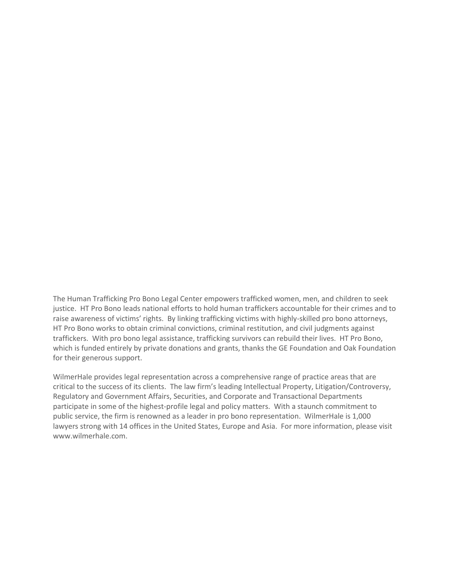The Human Trafficking Pro Bono Legal Center empowers trafficked women, men, and children to seek justice. HT Pro Bono leads national efforts to hold human traffickers accountable for their crimes and to raise awareness of victims' rights. By linking trafficking victims with highly-skilled pro bono attorneys, HT Pro Bono works to obtain criminal convictions, criminal restitution, and civil judgments against traffickers. With pro bono legal assistance, trafficking survivors can rebuild their lives. HT Pro Bono, which is funded entirely by private donations and grants, thanks the GE Foundation and Oak Foundation for their generous support.

WilmerHale provides legal representation across a comprehensive range of practice areas that are critical to the success of its clients. The law firm's leading Intellectual Property, Litigation/Controversy, Regulatory and Government Affairs, Securities, and Corporate and Transactional Departments participate in some of the highest-profile legal and policy matters. With a staunch commitment to public service, the firm is renowned as a leader in pro bono representation. WilmerHale is 1,000 lawyers strong with 14 offices in the United States, Europe and Asia. For more information, please visit www.wilmerhale.com.